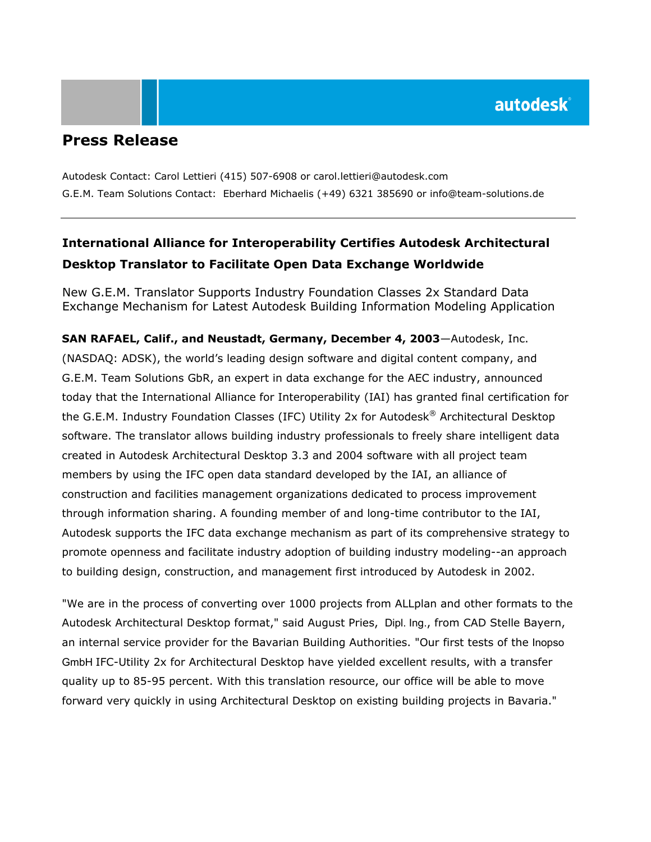## **Press Release**

Autodesk Contact: Carol Lettieri (415) 507-6908 or carol.lettieri@autodesk.com G.E.M. Team Solutions Contact: Eberhard Michaelis (+49) 6321 385690 or info@team-solutions.de

# **International Alliance for Interoperability Certifies Autodesk Architectural Desktop Translator to Facilitate Open Data Exchange Worldwide**

New G.E.M. Translator Supports Industry Foundation Classes 2x Standard Data Exchange Mechanism for Latest Autodesk Building Information Modeling Application

**SAN RAFAEL, Calif., and Neustadt, Germany, December 4, 2003**—Autodesk, Inc. (NASDAQ: ADSK), the world's leading design software and digital content company, and G.E.M. Team Solutions GbR, an expert in data exchange for the AEC industry, announced today that the International Alliance for Interoperability (IAI) has granted final certification for the G.E.M. Industry Foundation Classes (IFC) Utility 2x for Autodesk® Architectural Desktop software. The translator allows building industry professionals to freely share intelligent data created in Autodesk Architectural Desktop 3.3 and 2004 software with all project team members by using the IFC open data standard developed by the IAI, an alliance of construction and facilities management organizations dedicated to process improvement through information sharing. A founding member of and long-time contributor to the IAI, Autodesk supports the IFC data exchange mechanism as part of its comprehensive strategy to promote openness and facilitate industry adoption of building industry modeling--an approach to building design, construction, and management first introduced by Autodesk in 2002.

"We are in the process of converting over 1000 projects from ALLplan and other formats to the Autodesk Architectural Desktop format," said August Pries, Dipl. Ing., from CAD Stelle Bayern, an internal service provider for the Bavarian Building Authorities. "Our first tests of the Inopso GmbH IFC-Utility 2x for Architectural Desktop have yielded excellent results, with a transfer quality up to 85-95 percent. With this translation resource, our office will be able to move forward very quickly in using Architectural Desktop on existing building projects in Bavaria."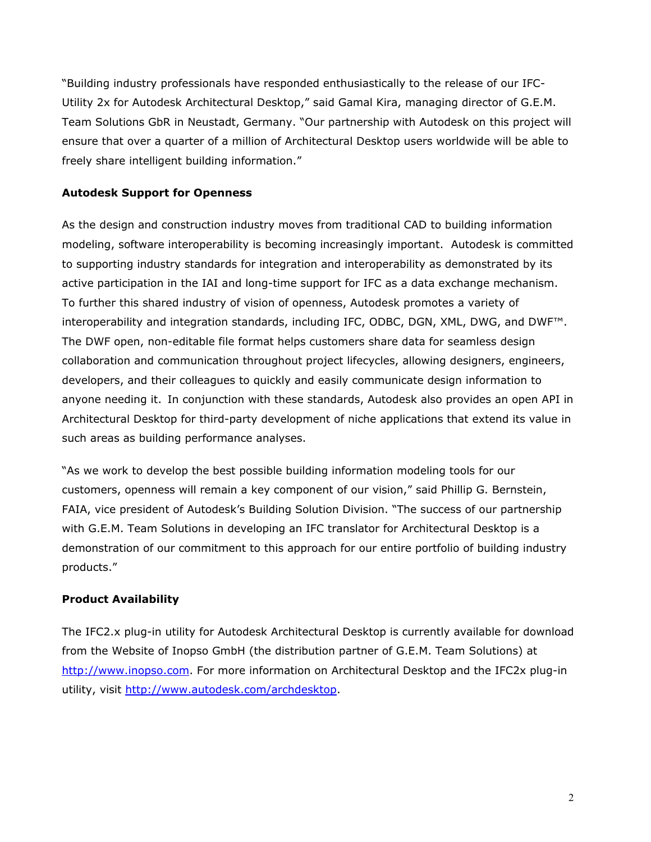"Building industry professionals have responded enthusiastically to the release of our IFC-Utility 2x for Autodesk Architectural Desktop," said Gamal Kira, managing director of G.E.M. Team Solutions GbR in Neustadt, Germany. "Our partnership with Autodesk on this project will ensure that over a quarter of a million of Architectural Desktop users worldwide will be able to freely share intelligent building information."

### **Autodesk Support for Openness**

As the design and construction industry moves from traditional CAD to building information modeling, software interoperability is becoming increasingly important. Autodesk is committed to supporting industry standards for integration and interoperability as demonstrated by its active participation in the IAI and long-time support for IFC as a data exchange mechanism. To further this shared industry of vision of openness, Autodesk promotes a variety of interoperability and integration standards, including IFC, ODBC, DGN, XML, DWG, and DWF™. The DWF open, non-editable file format helps customers share data for seamless design collaboration and communication throughout project lifecycles, allowing designers, engineers, developers, and their colleagues to quickly and easily communicate design information to anyone needing it. In conjunction with these standards, Autodesk also provides an open API in Architectural Desktop for third-party development of niche applications that extend its value in such areas as building performance analyses.

"As we work to develop the best possible building information modeling tools for our customers, openness will remain a key component of our vision," said Phillip G. Bernstein, FAIA, vice president of Autodesk's Building Solution Division. "The success of our partnership with G.E.M. Team Solutions in developing an IFC translator for Architectural Desktop is a demonstration of our commitment to this approach for our entire portfolio of building industry products."

## **Product Availability**

The IFC2.x plug-in utility for Autodesk Architectural Desktop is currently available for download from the Website of Inopso GmbH (the distribution partner of G.E.M. Team Solutions) at [http://www.inopso.com](http://www.inopso.com/). For more information on Architectural Desktop and the IFC2x plug-in utility, visit [http://www.autodesk.com/archdesktop.](http://www.autodesk.com/archdesktop)